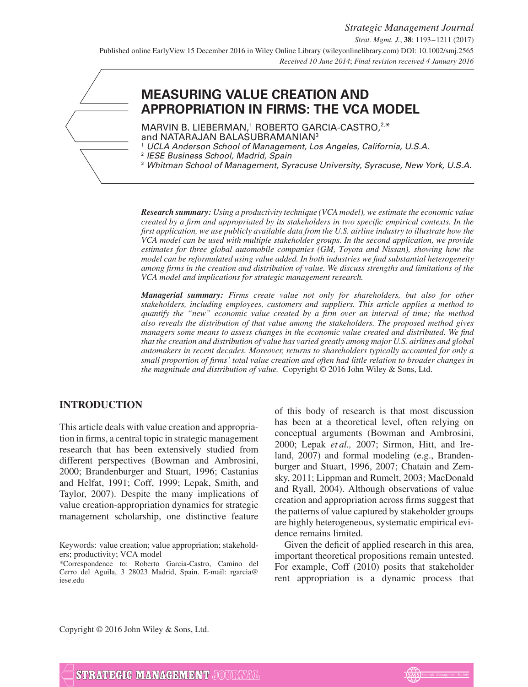

# **MEASURING VALUE CREATION AND APPROPRIATION IN FIRMS: THE VCA MODEL**

MARVIN B. LIEBERMAN,<sup>1</sup> ROBERTO GARCIA-CASTRO,<sup>2,\*</sup> and NATARAJAN BALASUBRAMANIAN3

<sup>1</sup> UCLA Anderson School of Management, Los Angeles, California, U.S.A.

<sup>2</sup> IESE Business School, Madrid, Spain

<sup>3</sup> Whitman School of Management, Syracuse University, Syracuse, New York, U.S.A.

*Research summary: Using a productivity technique (VCA model), we estimate the economic value created by a firm and appropriated by its stakeholders in two specific empirical contexts. In the first application, we use publicly available data from the U.S. airline industry to illustrate how the VCA model can be used with multiple stakeholder groups. In the second application, we provide estimates for three global automobile companies (GM, Toyota and Nissan), showing how the model can be reformulated using value added. In both industries we find substantial heterogeneity among firms in the creation and distribution of value. We discuss strengths and limitations of the VCA model and implications for strategic management research.*

*Managerial summary: Firms create value not only for shareholders, but also for other stakeholders, including employees, customers and suppliers. This article applies a method to quantify the "new" economic value created by a firm over an interval of time; the method also reveals the distribution of that value among the stakeholders. The proposed method gives managers some means to assess changes in the economic value created and distributed. We find that the creation and distribution of value has varied greatly among major U.S. airlines and global automakers in recent decades. Moreover, returns to shareholders typically accounted for only a small proportion of firms' total value creation and often had little relation to broader changes in the magnitude and distribution of value.* Copyright © 2016 John Wiley & Sons, Ltd.

# **INTRODUCTION**

This article deals with value creation and appropriation in firms, a central topic in strategic management research that has been extensively studied from different perspectives (Bowman and Ambrosini, 2000; Brandenburger and Stuart, 1996; Castanias and Helfat, 1991; Coff, 1999; Lepak, Smith, and Taylor, 2007). Despite the many implications of value creation-appropriation dynamics for strategic management scholarship, one distinctive feature of this body of research is that most discussion has been at a theoretical level, often relying on conceptual arguments (Bowman and Ambrosini, 2000; Lepak *et al.,* 2007; Sirmon, Hitt, and Ireland, 2007) and formal modeling (e.g., Brandenburger and Stuart, 1996, 2007; Chatain and Zemsky, 2011; Lippman and Rumelt, 2003; MacDonald and Ryall, 2004). Although observations of value creation and appropriation across firms suggest that the patterns of value captured by stakeholder groups are highly heterogeneous, systematic empirical evidence remains limited.

Given the deficit of applied research in this area, important theoretical propositions remain untested. For example, Coff (2010) posits that stakeholder rent appropriation is a dynamic process that

Copyright © 2016 John Wiley & Sons, Ltd.



Keywords: value creation; value appropriation; stakeholders; productivity; VCA model

<sup>\*</sup>Correspondence to: Roberto Garcia-Castro, Camino del Cerro del Aguila, 3 28023 Madrid, Spain. E-mail: rgarcia@ iese.edu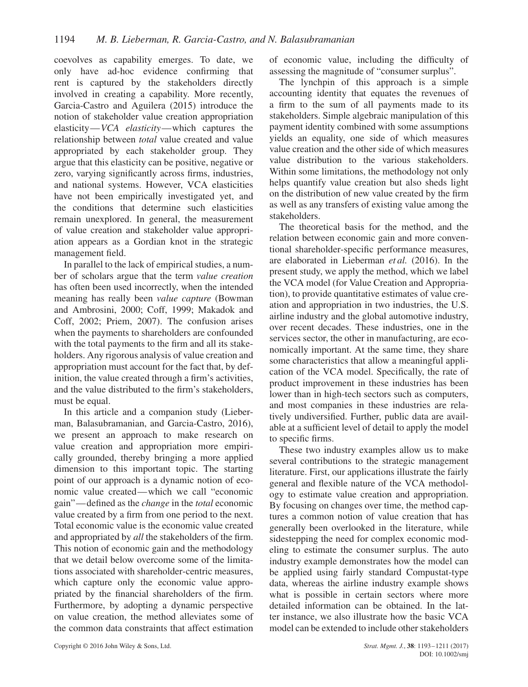coevolves as capability emerges. To date, we only have ad-hoc evidence confirming that rent is captured by the stakeholders directly involved in creating a capability. More recently, Garcia-Castro and Aguilera (2015) introduce the notion of stakeholder value creation appropriation elasticity—*VCA elasticity*—which captures the relationship between *total* value created and value appropriated by each stakeholder group. They argue that this elasticity can be positive, negative or zero, varying significantly across firms, industries, and national systems. However, VCA elasticities have not been empirically investigated yet, and the conditions that determine such elasticities remain unexplored. In general, the measurement of value creation and stakeholder value appropriation appears as a Gordian knot in the strategic management field.

In parallel to the lack of empirical studies, a number of scholars argue that the term *value creation* has often been used incorrectly, when the intended meaning has really been *value capture* (Bowman and Ambrosini, 2000; Coff, 1999; Makadok and Coff, 2002; Priem, 2007). The confusion arises when the payments to shareholders are confounded with the total payments to the firm and all its stakeholders. Any rigorous analysis of value creation and appropriation must account for the fact that, by definition, the value created through a firm's activities, and the value distributed to the firm's stakeholders, must be equal.

In this article and a companion study (Lieberman, Balasubramanian, and Garcia-Castro, 2016), we present an approach to make research on value creation and appropriation more empirically grounded, thereby bringing a more applied dimension to this important topic. The starting point of our approach is a dynamic notion of economic value created—which we call "economic gain"—defined as the *change* in the *total* economic value created by a firm from one period to the next. Total economic value is the economic value created and appropriated by *all* the stakeholders of the firm. This notion of economic gain and the methodology that we detail below overcome some of the limitations associated with shareholder-centric measures, which capture only the economic value appropriated by the financial shareholders of the firm. Furthermore, by adopting a dynamic perspective on value creation, the method alleviates some of the common data constraints that affect estimation of economic value, including the difficulty of assessing the magnitude of "consumer surplus".

The lynchpin of this approach is a simple accounting identity that equates the revenues of a firm to the sum of all payments made to its stakeholders. Simple algebraic manipulation of this payment identity combined with some assumptions yields an equality, one side of which measures value creation and the other side of which measures value distribution to the various stakeholders. Within some limitations, the methodology not only helps quantify value creation but also sheds light on the distribution of new value created by the firm as well as any transfers of existing value among the stakeholders.

The theoretical basis for the method, and the relation between economic gain and more conventional shareholder-specific performance measures, are elaborated in Lieberman *et al.* (2016). In the present study, we apply the method, which we label the VCA model (for Value Creation and Appropriation), to provide quantitative estimates of value creation and appropriation in two industries, the U.S. airline industry and the global automotive industry, over recent decades. These industries, one in the services sector, the other in manufacturing, are economically important. At the same time, they share some characteristics that allow a meaningful application of the VCA model. Specifically, the rate of product improvement in these industries has been lower than in high-tech sectors such as computers, and most companies in these industries are relatively undiversified. Further, public data are available at a sufficient level of detail to apply the model to specific firms.

These two industry examples allow us to make several contributions to the strategic management literature. First, our applications illustrate the fairly general and flexible nature of the VCA methodology to estimate value creation and appropriation. By focusing on changes over time, the method captures a common notion of value creation that has generally been overlooked in the literature, while sidestepping the need for complex economic modeling to estimate the consumer surplus. The auto industry example demonstrates how the model can be applied using fairly standard Compustat-type data, whereas the airline industry example shows what is possible in certain sectors where more detailed information can be obtained. In the latter instance, we also illustrate how the basic VCA model can be extended to include other stakeholders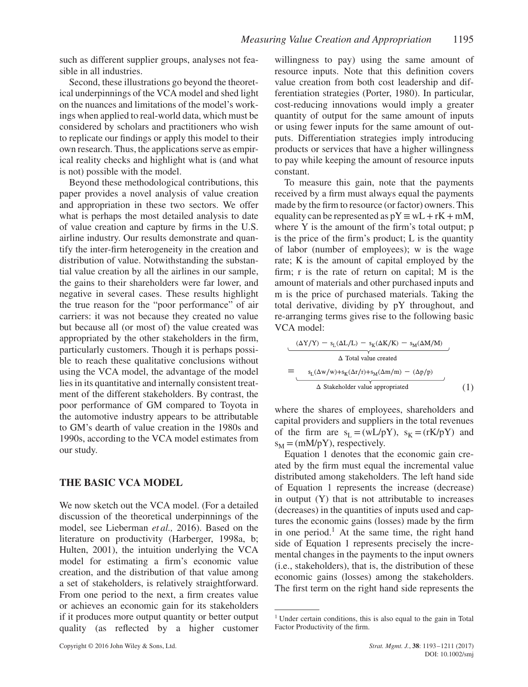such as different supplier groups, analyses not feasible in all industries.

Second, these illustrations go beyond the theoretical underpinnings of the VCA model and shed light on the nuances and limitations of the model's workings when applied to real-world data, which must be considered by scholars and practitioners who wish to replicate our findings or apply this model to their own research. Thus, the applications serve as empirical reality checks and highlight what is (and what is not) possible with the model.

Beyond these methodological contributions, this paper provides a novel analysis of value creation and appropriation in these two sectors. We offer what is perhaps the most detailed analysis to date of value creation and capture by firms in the U.S. airline industry. Our results demonstrate and quantify the inter-firm heterogeneity in the creation and distribution of value. Notwithstanding the substantial value creation by all the airlines in our sample, the gains to their shareholders were far lower, and negative in several cases. These results highlight the true reason for the "poor performance" of air carriers: it was not because they created no value but because all (or most of) the value created was appropriated by the other stakeholders in the firm, particularly customers. Though it is perhaps possible to reach these qualitative conclusions without using the VCA model, the advantage of the model lies in its quantitative and internally consistent treatment of the different stakeholders. By contrast, the poor performance of GM compared to Toyota in the automotive industry appears to be attributable to GM's dearth of value creation in the 1980s and 1990s, according to the VCA model estimates from our study.

# **THE BASIC VCA MODEL**

We now sketch out the VCA model. (For a detailed discussion of the theoretical underpinnings of the model, see Lieberman *et al.,* 2016). Based on the literature on productivity (Harberger, 1998a, b; Hulten, 2001), the intuition underlying the VCA model for estimating a firm's economic value creation, and the distribution of that value among a set of stakeholders, is relatively straightforward. From one period to the next, a firm creates value or achieves an economic gain for its stakeholders if it produces more output quantity or better output quality (as reflected by a higher customer

willingness to pay) using the same amount of resource inputs. Note that this definition covers value creation from both cost leadership and differentiation strategies (Porter, 1980). In particular, cost-reducing innovations would imply a greater quantity of output for the same amount of inputs or using fewer inputs for the same amount of outputs. Differentiation strategies imply introducing products or services that have a higher willingness to pay while keeping the amount of resource inputs constant.

To measure this gain, note that the payments received by a firm must always equal the payments made by the firm to resource (or factor) owners. This equality can be represented as  $pY \equiv wL + rK + mM$ , where Y is the amount of the firm's total output; p is the price of the firm's product; L is the quantity of labor (number of employees); w is the wage rate; K is the amount of capital employed by the firm; r is the rate of return on capital; M is the amount of materials and other purchased inputs and m is the price of purchased materials. Taking the total derivative, dividing by pY throughout, and re-arranging terms gives rise to the following basic VCA model:

$$
\frac{(\Delta Y/Y) - s_L(\Delta L/L) - s_K(\Delta K/K) - s_M(\Delta M/M)}{\Delta \text{ Total value created}}
$$
\n
$$
= \underbrace{s_L(\Delta w/w) + s_K(\Delta r/r) + s_M(\Delta m/m) - (\Delta p/p)}_{\Delta \text{ Stakeholder value appropriately}} \tag{1}
$$

where the shares of employees, shareholders and capital providers and suppliers in the total revenues of the firm are  $s_L = (wL/pY)$ ,  $s_K = (rK/pY)$  and  $s_M = (mM/pY)$ , respectively.

Equation 1 denotes that the economic gain created by the firm must equal the incremental value distributed among stakeholders. The left hand side of Equation 1 represents the increase (decrease) in output (Y) that is not attributable to increases (decreases) in the quantities of inputs used and captures the economic gains (losses) made by the firm in one period.<sup>[1](#page-2-0)</sup> At the same time, the right hand side of Equation 1 represents precisely the incremental changes in the payments to the input owners (i.e., stakeholders), that is, the distribution of these economic gains (losses) among the stakeholders. The first term on the right hand side represents the

<span id="page-2-0"></span><sup>&</sup>lt;sup>1</sup> Under certain conditions, this is also equal to the gain in Total Factor Productivity of the firm.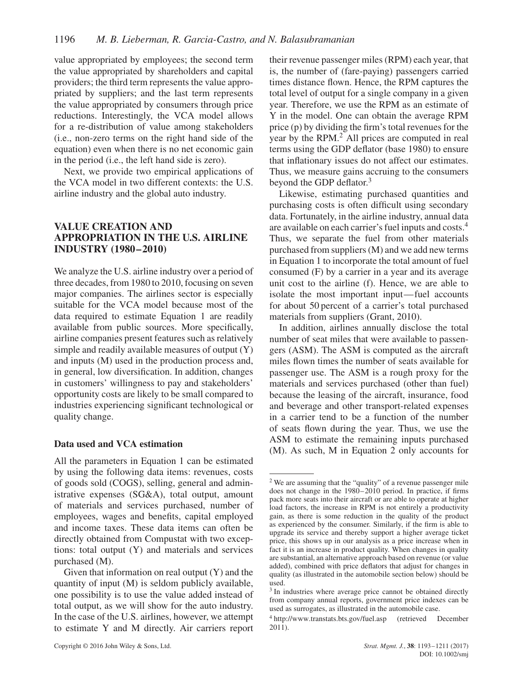value appropriated by employees; the second term the value appropriated by shareholders and capital providers; the third term represents the value appropriated by suppliers; and the last term represents the value appropriated by consumers through price reductions. Interestingly, the VCA model allows for a re-distribution of value among stakeholders (i.e., non-zero terms on the right hand side of the equation) even when there is no net economic gain in the period (i.e., the left hand side is zero).

Next, we provide two empirical applications of the VCA model in two different contexts: the U.S. airline industry and the global auto industry.

# **VALUE CREATION AND APPROPRIATION IN THE U.S. AIRLINE INDUSTRY (1980–2010)**

We analyze the U.S. airline industry over a period of three decades, from 1980 to 2010, focusing on seven major companies. The airlines sector is especially suitable for the VCA model because most of the data required to estimate Equation 1 are readily available from public sources. More specifically, airline companies present features such as relatively simple and readily available measures of output (Y) and inputs (M) used in the production process and, in general, low diversification. In addition, changes in customers' willingness to pay and stakeholders' opportunity costs are likely to be small compared to industries experiencing significant technological or quality change.

# **Data used and VCA estimation**

All the parameters in Equation 1 can be estimated by using the following data items: revenues, costs of goods sold (COGS), selling, general and administrative expenses (SG&A), total output, amount of materials and services purchased, number of employees, wages and benefits, capital employed and income taxes. These data items can often be directly obtained from Compustat with two exceptions: total output (Y) and materials and services purchased (M).

Given that information on real output (Y) and the quantity of input (M) is seldom publicly available, one possibility is to use the value added instead of total output, as we will show for the auto industry. In the case of the U.S. airlines, however, we attempt to estimate Y and M directly. Air carriers report their revenue passenger miles (RPM) each year, that is, the number of (fare-paying) passengers carried times distance flown. Hence, the RPM captures the total level of output for a single company in a given year. Therefore, we use the RPM as an estimate of Y in the model. One can obtain the average RPM price (p) by dividing the firm's total revenues for the year by the RPM.<sup>2</sup> All prices are computed in real terms using the GDP deflator (base 1980) to ensure that inflationary issues do not affect our estimates. Thus, we measure gains accruing to the consumers beyond the GDP deflator.<sup>[3](#page-3-1)</sup>

Likewise, estimating purchased quantities and purchasing costs is often difficult using secondary data. Fortunately, in the airline industry, annual data are available on each carrier's fuel inputs and costs.[4](#page-3-2) Thus, we separate the fuel from other materials purchased from suppliers (M) and we add new terms in Equation 1 to incorporate the total amount of fuel consumed (F) by a carrier in a year and its average unit cost to the airline (f). Hence, we are able to isolate the most important input— fuel accounts for about 50 percent of a carrier's total purchased materials from suppliers (Grant, 2010).

In addition, airlines annually disclose the total number of seat miles that were available to passengers (ASM). The ASM is computed as the aircraft miles flown times the number of seats available for passenger use. The ASM is a rough proxy for the materials and services purchased (other than fuel) because the leasing of the aircraft, insurance, food and beverage and other transport-related expenses in a carrier tend to be a function of the number of seats flown during the year. Thus, we use the ASM to estimate the remaining inputs purchased (M). As such, M in Equation 2 only accounts for

<span id="page-3-0"></span><sup>2</sup> We are assuming that the "quality" of a revenue passenger mile does not change in the 1980–2010 period. In practice, if firms pack more seats into their aircraft or are able to operate at higher load factors, the increase in RPM is not entirely a productivity gain, as there is some reduction in the quality of the product as experienced by the consumer. Similarly, if the firm is able to upgrade its service and thereby support a higher average ticket price, this shows up in our analysis as a price increase when in fact it is an increase in product quality. When changes in quality are substantial, an alternative approach based on revenue (or value added), combined with price deflators that adjust for changes in quality (as illustrated in the automobile section below) should be used.

<span id="page-3-1"></span><sup>&</sup>lt;sup>3</sup> In industries where average price cannot be obtained directly from company annual reports, government price indexes can be used as surrogates, as illustrated in the automobile case.

<span id="page-3-2"></span><sup>4</sup> <http://www.transtats.bts.gov/fuel.asp> (retrieved December 2011).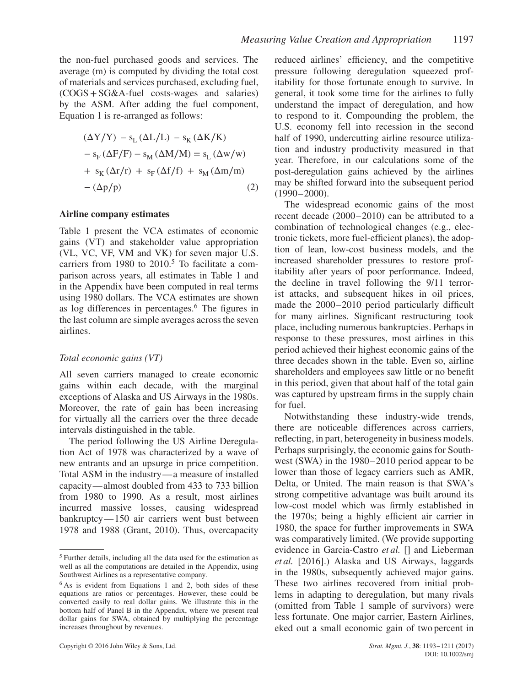the non-fuel purchased goods and services. The average (m) is computed by dividing the total cost of materials and services purchased, excluding fuel, (COGS+SG&A-fuel costs-wages and salaries) by the ASM. After adding the fuel component, Equation 1 is re-arranged as follows:

$$
(\Delta Y/Y) - s_L (\Delta L/L) - s_K (\Delta K/K)
$$
  

$$
- s_F (\Delta F/F) - s_M (\Delta M/M) = s_L (\Delta w/w)
$$
  

$$
+ s_K (\Delta r/r) + s_F (\Delta f/f) + s_M (\Delta m/m)
$$
  

$$
- (\Delta p/p)
$$
 (2)

#### **Airline company estimates**

Table 1 present the VCA estimates of economic gains (VT) and stakeholder value appropriation (VL, VC, VF, VM and VK) for seven major U.S. carriers from  $1980$  to  $2010<sup>5</sup>$  $2010<sup>5</sup>$  $2010<sup>5</sup>$  To facilitate a comparison across years, all estimates in Table 1 and in the Appendix have been computed in real terms using 1980 dollars. The VCA estimates are shown as log differences in percentages.<sup>[6](#page-4-1)</sup> The figures in the last column are simple averages across the seven airlines.

# *Total economic gains (VT)*

All seven carriers managed to create economic gains within each decade, with the marginal exceptions of Alaska and US Airways in the 1980s. Moreover, the rate of gain has been increasing for virtually all the carriers over the three decade intervals distinguished in the table.

The period following the US Airline Deregulation Act of 1978 was characterized by a wave of new entrants and an upsurge in price competition. Total ASM in the industry—a measure of installed capacity—almost doubled from 433 to 733 billion from 1980 to 1990. As a result, most airlines incurred massive losses, causing widespread bankruptcy—150 air carriers went bust between 1978 and 1988 (Grant, 2010). Thus, overcapacity

reduced airlines' efficiency, and the competitive pressure following deregulation squeezed profitability for those fortunate enough to survive. In general, it took some time for the airlines to fully understand the impact of deregulation, and how to respond to it. Compounding the problem, the U.S. economy fell into recession in the second half of 1990, undercutting airline resource utilization and industry productivity measured in that year. Therefore, in our calculations some of the post-deregulation gains achieved by the airlines may be shifted forward into the subsequent period (1990–2000).

The widespread economic gains of the most recent decade (2000–2010) can be attributed to a combination of technological changes (e.g., electronic tickets, more fuel-efficient planes), the adoption of lean, low-cost business models, and the increased shareholder pressures to restore profitability after years of poor performance. Indeed, the decline in travel following the 9/11 terrorist attacks, and subsequent hikes in oil prices, made the 2000–2010 period particularly difficult for many airlines. Significant restructuring took place, including numerous bankruptcies. Perhaps in response to these pressures, most airlines in this period achieved their highest economic gains of the three decades shown in the table. Even so, airline shareholders and employees saw little or no benefit in this period, given that about half of the total gain was captured by upstream firms in the supply chain for fuel.

Notwithstanding these industry-wide trends, there are noticeable differences across carriers, reflecting, in part, heterogeneity in business models. Perhaps surprisingly, the economic gains for Southwest (SWA) in the 1980–2010 period appear to be lower than those of legacy carriers such as AMR, Delta, or United. The main reason is that SWA's strong competitive advantage was built around its low-cost model which was firmly established in the 1970s; being a highly efficient air carrier in 1980, the space for further improvements in SWA was comparatively limited. (We provide supporting evidence in Garcia-Castro *et al.* [] and Lieberman *et al.* [2016].) Alaska and US Airways, laggards in the 1980s, subsequently achieved major gains. These two airlines recovered from initial problems in adapting to deregulation, but many rivals (omitted from Table 1 sample of survivors) were less fortunate. One major carrier, Eastern Airlines, eked out a small economic gain of two percent in

<span id="page-4-0"></span><sup>5</sup> Further details, including all the data used for the estimation as well as all the computations are detailed in the Appendix, using Southwest Airlines as a representative company.

<span id="page-4-1"></span> $6$  As is evident from Equations 1 and 2, both sides of these equations are ratios or percentages. However, these could be converted easily to real dollar gains. We illustrate this in the bottom half of Panel B in the Appendix, where we present real dollar gains for SWA, obtained by multiplying the percentage increases throughout by revenues.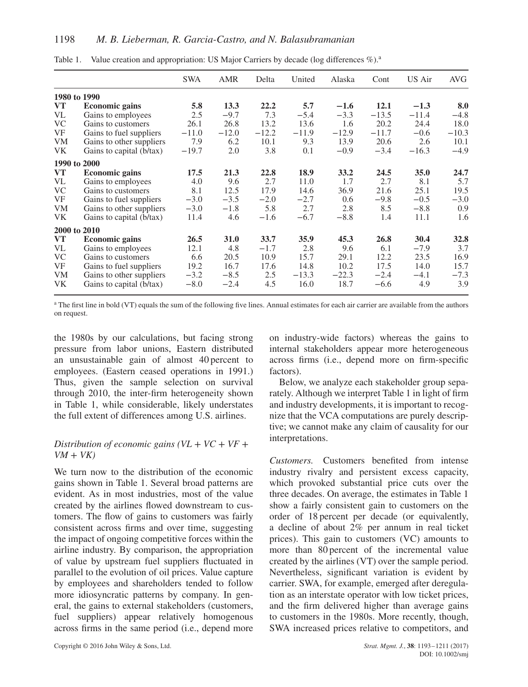|              |                          | <b>SWA</b> | AMR     | Delta   | United  | Alaska  | Cont    | US Air  | AVG     |
|--------------|--------------------------|------------|---------|---------|---------|---------|---------|---------|---------|
| 1980 to 1990 |                          |            |         |         |         |         |         |         |         |
| <b>VT</b>    | <b>Economic gains</b>    | 5.8        | 13.3    | 22.2    | 5.7     | $-1.6$  | 12.1    | $-1.3$  | 8.0     |
| VL           | Gains to employees       | 2.5        | $-9.7$  | 7.3     | $-5.4$  | $-3.3$  | $-13.5$ | $-11.4$ | $-4.8$  |
| <b>VC</b>    | Gains to customers       | 26.1       | 26.8    | 13.2    | 13.6    | 1.6     | 20.2    | 24.4    | 18.0    |
| VF           | Gains to fuel suppliers  | $-11.0$    | $-12.0$ | $-12.2$ | $-11.9$ | $-12.9$ | $-11.7$ | $-0.6$  | $-10.3$ |
| <b>VM</b>    | Gains to other suppliers | 7.9        | 6.2     | 10.1    | 9.3     | 13.9    | 20.6    | 2.6     | 10.1    |
| VK           | Gains to capital (b/tax) | $-19.7$    | 2.0     | 3.8     | 0.1     | $-0.9$  | $-3.4$  | $-16.3$ | $-4.9$  |
| 1990 to 2000 |                          |            |         |         |         |         |         |         |         |
| <b>VT</b>    | <b>Economic gains</b>    | 17.5       | 21.3    | 22.8    | 18.9    | 33.2    | 24.5    | 35.0    | 24.7    |
| VL           | Gains to employees       | 4.0        | 9.6     | 2.7     | 11.0    | 1.7     | 2.7     | 8.1     | 5.7     |
| <b>VC</b>    | Gains to customers       | 8.1        | 12.5    | 17.9    | 14.6    | 36.9    | 21.6    | 25.1    | 19.5    |
| VF           | Gains to fuel suppliers  | $-3.0$     | $-3.5$  | $-2.0$  | $-2.7$  | 0.6     | $-9.8$  | $-0.5$  | $-3.0$  |
| <b>VM</b>    | Gains to other suppliers | $-3.0$     | $-1.8$  | 5.8     | 2.7     | 2.8     | 8.5     | $-8.8$  | 0.9     |
| VK           | Gains to capital (b/tax) | 11.4       | 4.6     | $-1.6$  | $-6.7$  | $-8.8$  | 1.4     | 11.1    | 1.6     |
| 2000 to 2010 |                          |            |         |         |         |         |         |         |         |
| <b>VT</b>    | <b>Economic gains</b>    | 26.5       | 31.0    | 33.7    | 35.9    | 45.3    | 26.8    | 30.4    | 32.8    |
| VL           | Gains to employees       | 12.1       | 4.8     | $-1.7$  | 2.8     | 9.6     | 6.1     | $-7.9$  | 3.7     |
| <b>VC</b>    | Gains to customers       | 6.6        | 20.5    | 10.9    | 15.7    | 29.1    | 12.2    | 23.5    | 16.9    |
| VF           | Gains to fuel suppliers  | 19.2       | 16.7    | 17.6    | 14.8    | 10.2    | 17.5    | 14.0    | 15.7    |
| <b>VM</b>    | Gains to other suppliers | $-3.2$     | $-8.5$  | 2.5     | $-13.3$ | $-22.3$ | $-2.4$  | $-4.1$  | $-7.3$  |
| VK           | Gains to capital (b/tax) | $-8.0$     | $-2.4$  | 4.5     | 16.0    | 18.7    | $-6.6$  | 4.9     | 3.9     |

Table 1. Value creation and appropriation: US Major Carriers by decade (log differences  $\%$ ).<sup>a</sup>

<sup>a</sup> The first line in bold (VT) equals the sum of the following five lines. Annual estimates for each air carrier are available from the authors on request.

the 1980s by our calculations, but facing strong pressure from labor unions, Eastern distributed an unsustainable gain of almost 40 percent to employees. (Eastern ceased operations in 1991.) Thus, given the sample selection on survival through 2010, the inter-firm heterogeneity shown in Table 1, while considerable, likely understates the full extent of differences among U.S. airlines.

# *Distribution of economic gains*  $(VL + VC + VF +$ *VM* + *VK)*

We turn now to the distribution of the economic gains shown in Table 1. Several broad patterns are evident. As in most industries, most of the value created by the airlines flowed downstream to customers. The flow of gains to customers was fairly consistent across firms and over time, suggesting the impact of ongoing competitive forces within the airline industry. By comparison, the appropriation of value by upstream fuel suppliers fluctuated in parallel to the evolution of oil prices. Value capture by employees and shareholders tended to follow more idiosyncratic patterns by company. In general, the gains to external stakeholders (customers, fuel suppliers) appear relatively homogenous across firms in the same period (i.e., depend more on industry-wide factors) whereas the gains to internal stakeholders appear more heterogeneous across firms (i.e., depend more on firm-specific factors).

Below, we analyze each stakeholder group separately. Although we interpret Table 1 in light of firm and industry developments, it is important to recognize that the VCA computations are purely descriptive; we cannot make any claim of causality for our interpretations.

*Customers.* Customers benefited from intense industry rivalry and persistent excess capacity, which provoked substantial price cuts over the three decades. On average, the estimates in Table 1 show a fairly consistent gain to customers on the order of 18 percent per decade (or equivalently, a decline of about 2% per annum in real ticket prices). This gain to customers (VC) amounts to more than 80 percent of the incremental value created by the airlines (VT) over the sample period. Nevertheless, significant variation is evident by carrier. SWA, for example, emerged after deregulation as an interstate operator with low ticket prices, and the firm delivered higher than average gains to customers in the 1980s. More recently, though, SWA increased prices relative to competitors, and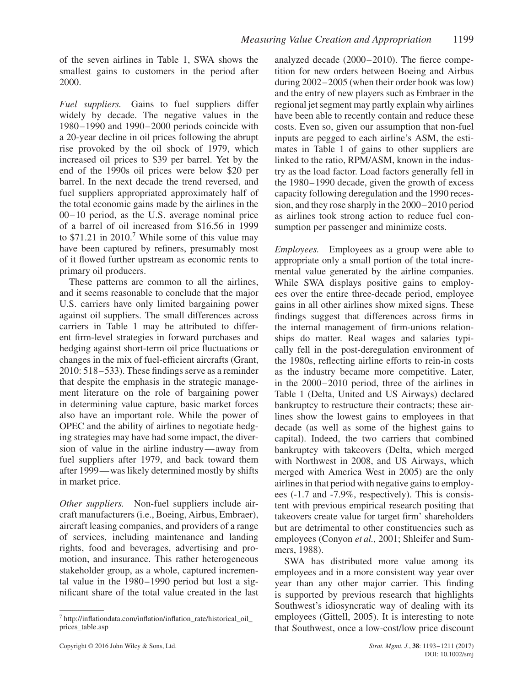of the seven airlines in Table 1, SWA shows the smallest gains to customers in the period after 2000.

*Fuel suppliers.* Gains to fuel suppliers differ widely by decade. The negative values in the 1980–1990 and 1990–2000 periods coincide with a 20-year decline in oil prices following the abrupt rise provoked by the oil shock of 1979, which increased oil prices to \$39 per barrel. Yet by the end of the 1990s oil prices were below \$20 per barrel. In the next decade the trend reversed, and fuel suppliers appropriated approximately half of the total economic gains made by the airlines in the 00–10 period, as the U.S. average nominal price of a barrel of oil increased from \$16.56 in 1999 to  $$71.21$  $$71.21$  $$71.21$  in 2010.<sup>7</sup> While some of this value may have been captured by refiners, presumably most of it flowed further upstream as economic rents to primary oil producers.

These patterns are common to all the airlines, and it seems reasonable to conclude that the major U.S. carriers have only limited bargaining power against oil suppliers. The small differences across carriers in Table 1 may be attributed to different firm-level strategies in forward purchases and hedging against short-term oil price fluctuations or changes in the mix of fuel-efficient aircrafts (Grant, 2010: 518–533). These findings serve as a reminder that despite the emphasis in the strategic management literature on the role of bargaining power in determining value capture, basic market forces also have an important role. While the power of OPEC and the ability of airlines to negotiate hedging strategies may have had some impact, the diversion of value in the airline industry—away from fuel suppliers after 1979, and back toward them after 1999—was likely determined mostly by shifts in market price.

*Other suppliers.* Non-fuel suppliers include aircraft manufacturers (i.e., Boeing, Airbus, Embraer), aircraft leasing companies, and providers of a range of services, including maintenance and landing rights, food and beverages, advertising and promotion, and insurance. This rather heterogeneous stakeholder group, as a whole, captured incremental value in the 1980–1990 period but lost a significant share of the total value created in the last analyzed decade (2000–2010). The fierce competition for new orders between Boeing and Airbus during 2002–2005 (when their order book was low) and the entry of new players such as Embraer in the regional jet segment may partly explain why airlines have been able to recently contain and reduce these costs. Even so, given our assumption that non-fuel inputs are pegged to each airline's ASM, the estimates in Table 1 of gains to other suppliers are linked to the ratio, RPM/ASM, known in the industry as the load factor. Load factors generally fell in the 1980–1990 decade, given the growth of excess capacity following deregulation and the 1990 recession, and they rose sharply in the 2000–2010 period as airlines took strong action to reduce fuel consumption per passenger and minimize costs.

*Employees.* Employees as a group were able to appropriate only a small portion of the total incremental value generated by the airline companies. While SWA displays positive gains to employees over the entire three-decade period, employee gains in all other airlines show mixed signs. These findings suggest that differences across firms in the internal management of firm-unions relationships do matter. Real wages and salaries typically fell in the post-deregulation environment of the 1980s, reflecting airline efforts to rein-in costs as the industry became more competitive. Later, in the 2000–2010 period, three of the airlines in Table 1 (Delta, United and US Airways) declared bankruptcy to restructure their contracts; these airlines show the lowest gains to employees in that decade (as well as some of the highest gains to capital). Indeed, the two carriers that combined bankruptcy with takeovers (Delta, which merged with Northwest in 2008, and US Airways, which merged with America West in 2005) are the only airlines in that period with negative gains to employees (-1.7 and -7.9%, respectively). This is consistent with previous empirical research positing that takeovers create value for target firm' shareholders but are detrimental to other constituencies such as employees (Conyon *et al.,* 2001; Shleifer and Summers, 1988).

SWA has distributed more value among its employees and in a more consistent way year over year than any other major carrier. This finding is supported by previous research that highlights Southwest's idiosyncratic way of dealing with its employees (Gittell, 2005). It is interesting to note that Southwest, once a low-cost/low price discount

<span id="page-6-0"></span><sup>7</sup> [http://inflationdata.com/inflation/inflation\\_rate/historical\\_oil\\_](http://inflationdata.com/inflation/inflation_rate/historical_oil_prices_table.asp) [prices\\_table.asp](http://inflationdata.com/inflation/inflation_rate/historical_oil_prices_table.asp)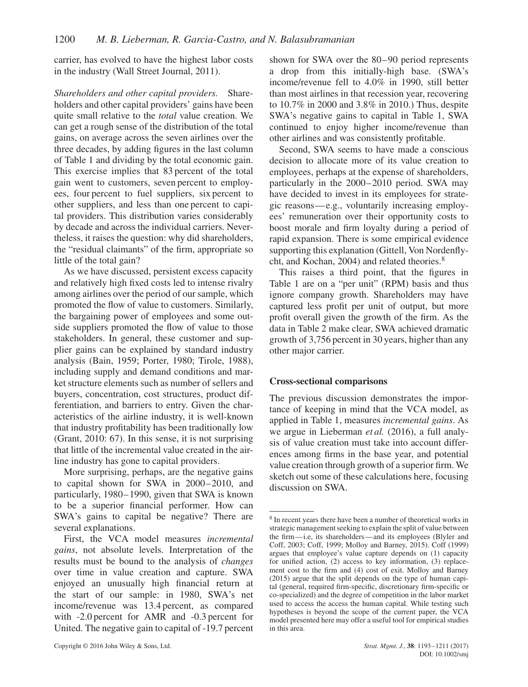carrier, has evolved to have the highest labor costs in the industry (Wall Street Journal, 2011).

*Shareholders and other capital providers.* Shareholders and other capital providers' gains have been quite small relative to the *total* value creation. We can get a rough sense of the distribution of the total gains, on average across the seven airlines over the three decades, by adding figures in the last column of Table 1 and dividing by the total economic gain. This exercise implies that 83 percent of the total gain went to customers, seven percent to employees, four percent to fuel suppliers, six percent to other suppliers, and less than one percent to capital providers. This distribution varies considerably by decade and across the individual carriers. Nevertheless, it raises the question: why did shareholders, the "residual claimants" of the firm, appropriate so little of the total gain?

As we have discussed, persistent excess capacity and relatively high fixed costs led to intense rivalry among airlines over the period of our sample, which promoted the flow of value to customers. Similarly, the bargaining power of employees and some outside suppliers promoted the flow of value to those stakeholders. In general, these customer and supplier gains can be explained by standard industry analysis (Bain, 1959; Porter, 1980; Tirole, 1988), including supply and demand conditions and market structure elements such as number of sellers and buyers, concentration, cost structures, product differentiation, and barriers to entry. Given the characteristics of the airline industry, it is well-known that industry profitability has been traditionally low (Grant, 2010: 67). In this sense, it is not surprising that little of the incremental value created in the airline industry has gone to capital providers.

More surprising, perhaps, are the negative gains to capital shown for SWA in 2000–2010, and particularly, 1980–1990, given that SWA is known to be a superior financial performer. How can SWA's gains to capital be negative? There are several explanations.

First, the VCA model measures *incremental gains*, not absolute levels. Interpretation of the results must be bound to the analysis of *changes* over time in value creation and capture. SWA enjoyed an unusually high financial return at the start of our sample: in 1980, SWA's net income/revenue was 13.4 percent, as compared with -2.0 percent for AMR and -0.3 percent for United. The negative gain to capital of -19.7 percent shown for SWA over the 80–90 period represents a drop from this initially-high base. (SWA's income/revenue fell to 4.0% in 1990, still better than most airlines in that recession year, recovering to 10.7% in 2000 and 3.8% in 2010.) Thus, despite SWA's negative gains to capital in Table 1, SWA continued to enjoy higher income/revenue than other airlines and was consistently profitable.

Second, SWA seems to have made a conscious decision to allocate more of its value creation to employees, perhaps at the expense of shareholders, particularly in the 2000–2010 period. SWA may have decided to invest in its employees for strategic reasons—e.g., voluntarily increasing employees' remuneration over their opportunity costs to boost morale and firm loyalty during a period of rapid expansion. There is some empirical evidence supporting this explanation (Gittell, Von Nordenfly-cht, and Kochan, 2004) and related theories.<sup>[8](#page-7-0)</sup>

This raises a third point, that the figures in Table 1 are on a "per unit" (RPM) basis and thus ignore company growth. Shareholders may have captured less profit per unit of output, but more profit overall given the growth of the firm. As the data in Table 2 make clear, SWA achieved dramatic growth of 3,756 percent in 30 years, higher than any other major carrier.

# **Cross-sectional comparisons**

The previous discussion demonstrates the importance of keeping in mind that the VCA model, as applied in Table 1, measures *incremental gains*. As we argue in Lieberman *et al.* (2016), a full analysis of value creation must take into account differences among firms in the base year, and potential value creation through growth of a superior firm. We sketch out some of these calculations here, focusing discussion on SWA.

<span id="page-7-0"></span><sup>8</sup> In recent years there have been a number of theoretical works in strategic management seeking to explain the split of value between the firm—i.e, its shareholders—and its employees (Blyler and Coff, 2003; Coff, 1999; Molloy and Barney, 2015). Coff (1999) argues that employee's value capture depends on (1) capacity for unified action, (2) access to key information, (3) replacement cost to the firm and (4) cost of exit. Molloy and Barney (2015) argue that the split depends on the type of human capital (general, required firm-specific, discretionary firm-specific or co-specialized) and the degree of competition in the labor market used to access the access the human capital. While testing such hypotheses is beyond the scope of the current paper, the VCA model presented here may offer a useful tool for empirical studies in this area.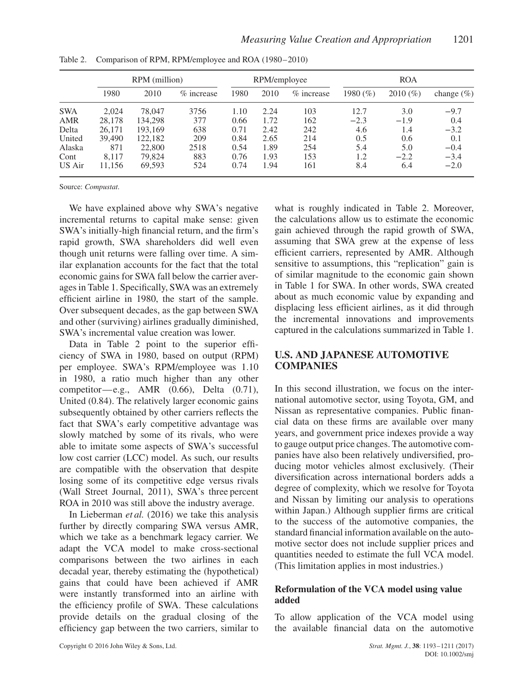|            | RPM (million) |         | RPM/employee |      |      | <b>ROA</b>   |              |         |                |
|------------|---------------|---------|--------------|------|------|--------------|--------------|---------|----------------|
|            | 1980          | 2010    | $%$ increase | 1980 | 2010 | $%$ increase | 1980 $(\% )$ | 2010(%) | change $(\% )$ |
| <b>SWA</b> | 2.024         | 78,047  | 3756         | 1.10 | 2.24 | 103          | 12.7         | 3.0     | $-9.7$         |
| <b>AMR</b> | 28,178        | 134,298 | 377          | 0.66 | 1.72 | 162          | $-2.3$       | $-1.9$  | 0.4            |
| Delta      | 26,171        | 193.169 | 638          | 0.71 | 2.42 | 242          | 4.6          | 1.4     | $-3.2$         |
| United     | 39,490        | 122,182 | 209          | 0.84 | 2.65 | 214          | 0.5          | 0.6     | 0.1            |
| Alaska     | 871           | 22,800  | 2518         | 0.54 | 1.89 | 254          | 5.4          | 5.0     | $-0.4$         |
| Cont       | 8.117         | 79,824  | 883          | 0.76 | 1.93 | 153          | 1.2          | $-2.2$  | $-3.4$         |
| US Air     | 11,156        | 69,593  | 524          | 0.74 | 1.94 | 161          | 8.4          | 6.4     | $-2.0$         |

Table 2. Comparison of RPM, RPM/employee and ROA (1980–2010)

Source: *Compustat.*

We have explained above why SWA's negative incremental returns to capital make sense: given SWA's initially-high financial return, and the firm's rapid growth, SWA shareholders did well even though unit returns were falling over time. A similar explanation accounts for the fact that the total economic gains for SWA fall below the carrier averages in Table 1. Specifically, SWA was an extremely efficient airline in 1980, the start of the sample. Over subsequent decades, as the gap between SWA and other (surviving) airlines gradually diminished, SWA's incremental value creation was lower.

Data in Table 2 point to the superior efficiency of SWA in 1980, based on output (RPM) per employee. SWA's RPM/employee was 1.10 in 1980, a ratio much higher than any other competitor—e.g., AMR (0.66), Delta (0.71), United (0.84). The relatively larger economic gains subsequently obtained by other carriers reflects the fact that SWA's early competitive advantage was slowly matched by some of its rivals, who were able to imitate some aspects of SWA's successful low cost carrier (LCC) model. As such, our results are compatible with the observation that despite losing some of its competitive edge versus rivals (Wall Street Journal, 2011), SWA's three percent ROA in 2010 was still above the industry average.

In Lieberman *et al.* (2016) we take this analysis further by directly comparing SWA versus AMR, which we take as a benchmark legacy carrier. We adapt the VCA model to make cross-sectional comparisons between the two airlines in each decadal year, thereby estimating the (hypothetical) gains that could have been achieved if AMR were instantly transformed into an airline with the efficiency profile of SWA. These calculations provide details on the gradual closing of the efficiency gap between the two carriers, similar to

what is roughly indicated in Table 2. Moreover, the calculations allow us to estimate the economic gain achieved through the rapid growth of SWA, assuming that SWA grew at the expense of less efficient carriers, represented by AMR. Although sensitive to assumptions, this "replication" gain is of similar magnitude to the economic gain shown in Table 1 for SWA. In other words, SWA created about as much economic value by expanding and displacing less efficient airlines, as it did through the incremental innovations and improvements captured in the calculations summarized in Table 1.

# **U.S. AND JAPANESE AUTOMOTIVE COMPANIES**

In this second illustration, we focus on the international automotive sector, using Toyota, GM, and Nissan as representative companies. Public financial data on these firms are available over many years, and government price indexes provide a way to gauge output price changes. The automotive companies have also been relatively undiversified, producing motor vehicles almost exclusively. (Their diversification across international borders adds a degree of complexity, which we resolve for Toyota and Nissan by limiting our analysis to operations within Japan.) Although supplier firms are critical to the success of the automotive companies, the standard financial information available on the automotive sector does not include supplier prices and quantities needed to estimate the full VCA model. (This limitation applies in most industries.)

# **Reformulation of the VCA model using value added**

To allow application of the VCA model using the available financial data on the automotive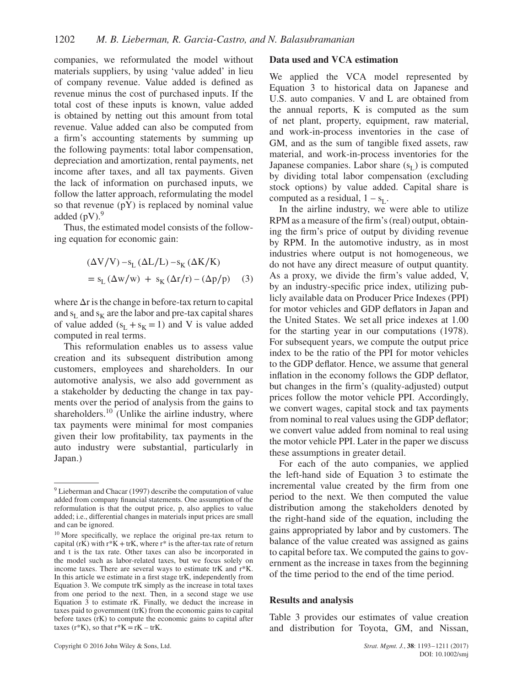companies, we reformulated the model without materials suppliers, by using 'value added' in lieu of company revenue. Value added is defined as revenue minus the cost of purchased inputs. If the total cost of these inputs is known, value added is obtained by netting out this amount from total revenue. Value added can also be computed from a firm's accounting statements by summing up the following payments: total labor compensation, depreciation and amortization, rental payments, net income after taxes, and all tax payments. Given the lack of information on purchased inputs, we follow the latter approach, reformulating the model so that revenue (pY) is replaced by nominal value added  $(pV)$ .<sup>[9](#page-9-0)</sup>

Thus, the estimated model consists of the following equation for economic gain:

$$
(\Delta V/V) - s_L (\Delta L/L) - s_K (\Delta K/K)
$$
  
=  $s_L (\Delta w/w) + s_K (\Delta r/r) - (\Delta p/p)$  (3)

where  $\Delta r$  is the change in before-tax return to capital and  $s_L$  and  $s_K$  are the labor and pre-tax capital shares of value added  $(s_L + s_K = 1)$  and V is value added computed in real terms.

This reformulation enables us to assess value creation and its subsequent distribution among customers, employees and shareholders. In our automotive analysis, we also add government as a stakeholder by deducting the change in tax payments over the period of analysis from the gains to shareholders.<sup>[10](#page-9-1)</sup> (Unlike the airline industry, where tax payments were minimal for most companies given their low profitability, tax payments in the auto industry were substantial, particularly in Japan.)

#### **Data used and VCA estimation**

We applied the VCA model represented by Equation 3 to historical data on Japanese and U.S. auto companies. V and L are obtained from the annual reports, K is computed as the sum of net plant, property, equipment, raw material, and work-in-process inventories in the case of GM, and as the sum of tangible fixed assets, raw material, and work-in-process inventories for the Japanese companies. Labor share  $(s_L)$  is computed by dividing total labor compensation (excluding stock options) by value added. Capital share is computed as a residual,  $1 - s<sub>L</sub>$ .

In the airline industry, we were able to utilize RPM as a measure of the firm's (real) output, obtaining the firm's price of output by dividing revenue by RPM. In the automotive industry, as in most industries where output is not homogeneous, we do not have any direct measure of output quantity. As a proxy, we divide the firm's value added, V, by an industry-specific price index, utilizing publicly available data on Producer Price Indexes (PPI) for motor vehicles and GDP deflators in Japan and the United States. We set all price indexes at 1.00 for the starting year in our computations (1978). For subsequent years, we compute the output price index to be the ratio of the PPI for motor vehicles to the GDP deflator. Hence, we assume that general inflation in the economy follows the GDP deflator, but changes in the firm's (quality-adjusted) output prices follow the motor vehicle PPI. Accordingly, we convert wages, capital stock and tax payments from nominal to real values using the GDP deflator; we convert value added from nominal to real using the motor vehicle PPI. Later in the paper we discuss these assumptions in greater detail.

For each of the auto companies, we applied the left-hand side of Equation 3 to estimate the incremental value created by the firm from one period to the next. We then computed the value distribution among the stakeholders denoted by the right-hand side of the equation, including the gains appropriated by labor and by customers. The balance of the value created was assigned as gains to capital before tax. We computed the gains to government as the increase in taxes from the beginning of the time period to the end of the time period.

#### **Results and analysis**

Table 3 provides our estimates of value creation and distribution for Toyota, GM, and Nissan,

<span id="page-9-0"></span><sup>9</sup> Lieberman and Chacar (1997) describe the computation of value added from company financial statements. One assumption of the reformulation is that the output price, p, also applies to value added; i.e., differential changes in materials input prices are small and can be ignored.

<span id="page-9-1"></span><sup>10</sup> More specifically, we replace the original pre-tax return to capital (rK) with  $r*K + trK$ , where  $r*$  is the after-tax rate of return and t is the tax rate. Other taxes can also be incorporated in the model such as labor-related taxes, but we focus solely on income taxes. There are several ways to estimate trK and r\*K. In this article we estimate in a first stage trK, independently from Equation 3. We compute trK simply as the increase in total taxes from one period to the next. Then, in a second stage we use Equation  $\overline{3}$  to estimate rK. Finally, we deduct the increase in taxes paid to government (trK) from the economic gains to capital before taxes (rK) to compute the economic gains to capital after taxes  $(r*K)$ , so that  $r*K = rK - trK$ .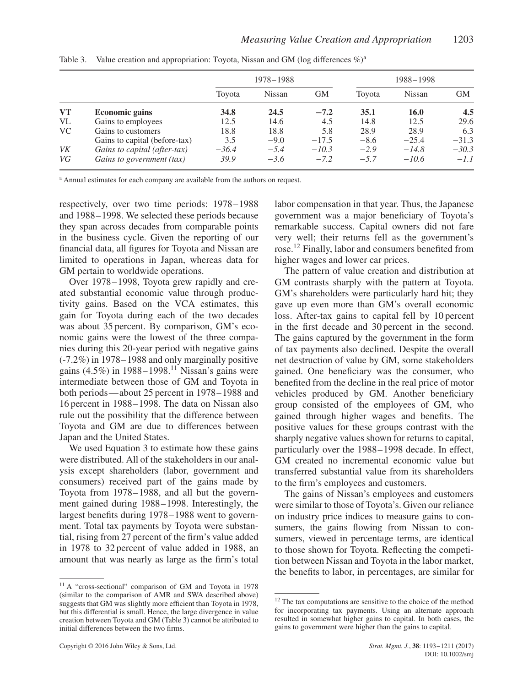|           |                               |         | 1978-1988 |         | 1988–1998 |         |           |  |
|-----------|-------------------------------|---------|-----------|---------|-----------|---------|-----------|--|
|           |                               | Toyota  | Nissan    | GМ      | Toyota    | Nissan  | <b>GM</b> |  |
| <b>VT</b> | <b>Economic gains</b>         | 34.8    | 24.5      | $-7.2$  | 35.1      | 16.0    | 4.5       |  |
| VL        | Gains to employees            | 12.5    | 14.6      | 4.5     | 14.8      | 12.5    | 29.6      |  |
| <b>VC</b> | Gains to customers            | 18.8    | 18.8      | 5.8     | 28.9      | 28.9    | 6.3       |  |
|           | Gains to capital (before-tax) | 3.5     | $-9.0$    | $-17.5$ | $-8.6$    | $-25.4$ | $-31.3$   |  |
| VK        | Gains to capital (after-tax)  | $-36.4$ | $-5.4$    | $-10.3$ | $-2.9$    | $-14.8$ | $-30.3$   |  |
| VG        | Gains to government (tax)     | 39.9    | $-3.6$    | $-7.2$  | $-5.7$    | $-10.6$ | $-1.1$    |  |

Table 3. Value creation and appropriation: Toyota, Nissan and GM (log differences  $\%$ )<sup>a</sup>

<sup>a</sup> Annual estimates for each company are available from the authors on request.

respectively, over two time periods: 1978–1988 and 1988–1998. We selected these periods because they span across decades from comparable points in the business cycle. Given the reporting of our financial data, all figures for Toyota and Nissan are limited to operations in Japan, whereas data for GM pertain to worldwide operations.

Over 1978–1998, Toyota grew rapidly and created substantial economic value through productivity gains. Based on the VCA estimates, this gain for Toyota during each of the two decades was about 35 percent. By comparison, GM's economic gains were the lowest of the three companies during this 20-year period with negative gains (-7.2%) in 1978–1988 and only marginally positive gains  $(4.5\%)$  in 1988–1998.<sup>[11](#page-10-0)</sup> Nissan's gains were intermediate between those of GM and Toyota in both periods—about 25 percent in 1978–1988 and 16 percent in 1988–1998. The data on Nissan also rule out the possibility that the difference between Toyota and GM are due to differences between Japan and the United States.

We used Equation 3 to estimate how these gains were distributed. All of the stakeholders in our analysis except shareholders (labor, government and consumers) received part of the gains made by Toyota from 1978–1988, and all but the government gained during 1988–1998. Interestingly, the largest benefits during 1978–1988 went to government. Total tax payments by Toyota were substantial, rising from 27 percent of the firm's value added in 1978 to 32 percent of value added in 1988, an amount that was nearly as large as the firm's total

labor compensation in that year. Thus, the Japanese government was a major beneficiary of Toyota's remarkable success. Capital owners did not fare very well; their returns fell as the government's rose.<sup>[12](#page-10-1)</sup> Finally, labor and consumers benefited from higher wages and lower car prices.

The pattern of value creation and distribution at GM contrasts sharply with the pattern at Toyota. GM's shareholders were particularly hard hit; they gave up even more than GM's overall economic loss. After-tax gains to capital fell by 10 percent in the first decade and 30 percent in the second. The gains captured by the government in the form of tax payments also declined. Despite the overall net destruction of value by GM, some stakeholders gained. One beneficiary was the consumer, who benefited from the decline in the real price of motor vehicles produced by GM. Another beneficiary group consisted of the employees of GM, who gained through higher wages and benefits. The positive values for these groups contrast with the sharply negative values shown for returns to capital, particularly over the 1988–1998 decade. In effect, GM created no incremental economic value but transferred substantial value from its shareholders to the firm's employees and customers.

The gains of Nissan's employees and customers were similar to those of Toyota's. Given our reliance on industry price indices to measure gains to consumers, the gains flowing from Nissan to consumers, viewed in percentage terms, are identical to those shown for Toyota. Reflecting the competition between Nissan and Toyota in the labor market, the benefits to labor, in percentages, are similar for

<span id="page-10-0"></span><sup>11</sup> A "cross-sectional" comparison of GM and Toyota in 1978 (similar to the comparison of AMR and SWA described above) suggests that GM was slightly more efficient than Toyota in 1978, but this differential is small. Hence, the large divergence in value creation between Toyota and GM (Table 3) cannot be attributed to initial differences between the two firms.

<span id="page-10-1"></span><sup>&</sup>lt;sup>12</sup> The tax computations are sensitive to the choice of the method for incorporating tax payments. Using an alternate approach resulted in somewhat higher gains to capital. In both cases, the gains to government were higher than the gains to capital.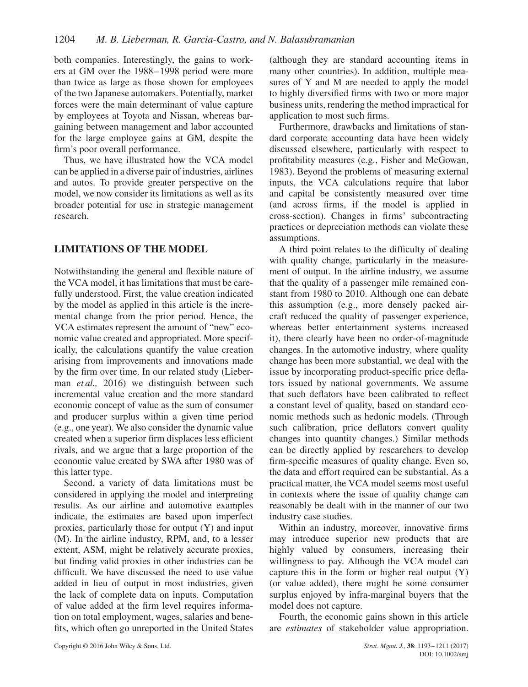both companies. Interestingly, the gains to workers at GM over the 1988–1998 period were more than twice as large as those shown for employees of the two Japanese automakers. Potentially, market forces were the main determinant of value capture by employees at Toyota and Nissan, whereas bargaining between management and labor accounted for the large employee gains at GM, despite the firm's poor overall performance.

Thus, we have illustrated how the VCA model can be applied in a diverse pair of industries, airlines and autos. To provide greater perspective on the model, we now consider its limitations as well as its broader potential for use in strategic management research.

# **LIMITATIONS OF THE MODEL**

Notwithstanding the general and flexible nature of the VCA model, it has limitations that must be carefully understood. First, the value creation indicated by the model as applied in this article is the incremental change from the prior period. Hence, the VCA estimates represent the amount of "new" economic value created and appropriated. More specifically, the calculations quantify the value creation arising from improvements and innovations made by the firm over time. In our related study (Lieberman *et al.,* 2016) we distinguish between such incremental value creation and the more standard economic concept of value as the sum of consumer and producer surplus within a given time period (e.g., one year). We also consider the dynamic value created when a superior firm displaces less efficient rivals, and we argue that a large proportion of the economic value created by SWA after 1980 was of this latter type.

Second, a variety of data limitations must be considered in applying the model and interpreting results. As our airline and automotive examples indicate, the estimates are based upon imperfect proxies, particularly those for output (Y) and input (M). In the airline industry, RPM, and, to a lesser extent, ASM, might be relatively accurate proxies, but finding valid proxies in other industries can be difficult. We have discussed the need to use value added in lieu of output in most industries, given the lack of complete data on inputs. Computation of value added at the firm level requires information on total employment, wages, salaries and benefits, which often go unreported in the United States (although they are standard accounting items in many other countries). In addition, multiple measures of Y and M are needed to apply the model to highly diversified firms with two or more major business units, rendering the method impractical for application to most such firms.

Furthermore, drawbacks and limitations of standard corporate accounting data have been widely discussed elsewhere, particularly with respect to profitability measures (e.g., Fisher and McGowan, 1983). Beyond the problems of measuring external inputs, the VCA calculations require that labor and capital be consistently measured over time (and across firms, if the model is applied in cross-section). Changes in firms' subcontracting practices or depreciation methods can violate these assumptions.

A third point relates to the difficulty of dealing with quality change, particularly in the measurement of output. In the airline industry, we assume that the quality of a passenger mile remained constant from 1980 to 2010. Although one can debate this assumption (e.g., more densely packed aircraft reduced the quality of passenger experience, whereas better entertainment systems increased it), there clearly have been no order-of-magnitude changes. In the automotive industry, where quality change has been more substantial, we deal with the issue by incorporating product-specific price deflators issued by national governments. We assume that such deflators have been calibrated to reflect a constant level of quality, based on standard economic methods such as hedonic models. (Through such calibration, price deflators convert quality changes into quantity changes.) Similar methods can be directly applied by researchers to develop firm-specific measures of quality change. Even so, the data and effort required can be substantial. As a practical matter, the VCA model seems most useful in contexts where the issue of quality change can reasonably be dealt with in the manner of our two industry case studies.

Within an industry, moreover, innovative firms may introduce superior new products that are highly valued by consumers, increasing their willingness to pay. Although the VCA model can capture this in the form or higher real output (Y) (or value added), there might be some consumer surplus enjoyed by infra-marginal buyers that the model does not capture.

Fourth, the economic gains shown in this article are *estimates* of stakeholder value appropriation.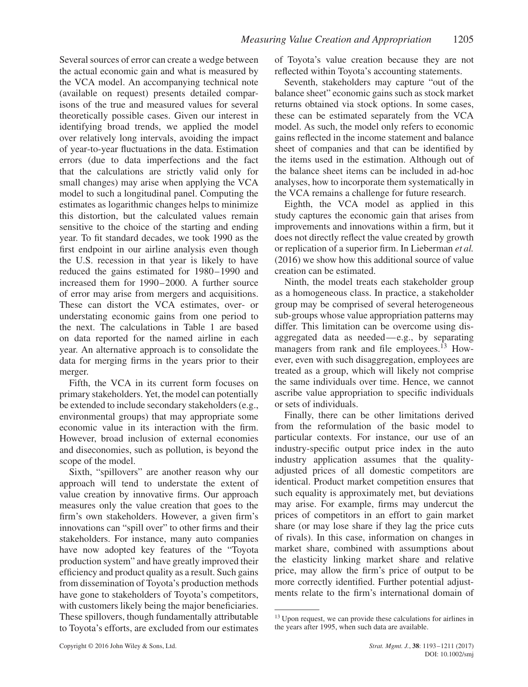Several sources of error can create a wedge between the actual economic gain and what is measured by the VCA model. An accompanying technical note (available on request) presents detailed comparisons of the true and measured values for several theoretically possible cases. Given our interest in identifying broad trends, we applied the model over relatively long intervals, avoiding the impact of year-to-year fluctuations in the data. Estimation errors (due to data imperfections and the fact that the calculations are strictly valid only for small changes) may arise when applying the VCA model to such a longitudinal panel. Computing the estimates as logarithmic changes helps to minimize this distortion, but the calculated values remain sensitive to the choice of the starting and ending year. To fit standard decades, we took 1990 as the first endpoint in our airline analysis even though the U.S. recession in that year is likely to have reduced the gains estimated for 1980–1990 and increased them for 1990–2000. A further source of error may arise from mergers and acquisitions. These can distort the VCA estimates, over- or understating economic gains from one period to the next. The calculations in Table 1 are based on data reported for the named airline in each year. An alternative approach is to consolidate the data for merging firms in the years prior to their merger.

Fifth, the VCA in its current form focuses on primary stakeholders. Yet, the model can potentially be extended to include secondary stakeholders (e.g., environmental groups) that may appropriate some economic value in its interaction with the firm. However, broad inclusion of external economies and diseconomies, such as pollution, is beyond the scope of the model.

Sixth, "spillovers" are another reason why our approach will tend to understate the extent of value creation by innovative firms. Our approach measures only the value creation that goes to the firm's own stakeholders. However, a given firm's innovations can "spill over" to other firms and their stakeholders. For instance, many auto companies have now adopted key features of the "Toyota production system" and have greatly improved their efficiency and product quality as a result. Such gains from dissemination of Toyota's production methods have gone to stakeholders of Toyota's competitors, with customers likely being the major beneficiaries. These spillovers, though fundamentally attributable to Toyota's efforts, are excluded from our estimates

of Toyota's value creation because they are not reflected within Toyota's accounting statements.

Seventh, stakeholders may capture "out of the balance sheet" economic gains such as stock market returns obtained via stock options. In some cases, these can be estimated separately from the VCA model. As such, the model only refers to economic gains reflected in the income statement and balance sheet of companies and that can be identified by the items used in the estimation. Although out of the balance sheet items can be included in ad-hoc analyses, how to incorporate them systematically in the VCA remains a challenge for future research.

Eighth, the VCA model as applied in this study captures the economic gain that arises from improvements and innovations within a firm, but it does not directly reflect the value created by growth or replication of a superior firm. In Lieberman *et al.* (2016) we show how this additional source of value creation can be estimated.

Ninth, the model treats each stakeholder group as a homogeneous class. In practice, a stakeholder group may be comprised of several heterogeneous sub-groups whose value appropriation patterns may differ. This limitation can be overcome using disaggregated data as needed—e.g., by separating managers from rank and file employees.<sup>[13](#page-12-0)</sup> However, even with such disaggregation, employees are treated as a group, which will likely not comprise the same individuals over time. Hence, we cannot ascribe value appropriation to specific individuals or sets of individuals.

Finally, there can be other limitations derived from the reformulation of the basic model to particular contexts. For instance, our use of an industry-specific output price index in the auto industry application assumes that the qualityadjusted prices of all domestic competitors are identical. Product market competition ensures that such equality is approximately met, but deviations may arise. For example, firms may undercut the prices of competitors in an effort to gain market share (or may lose share if they lag the price cuts of rivals). In this case, information on changes in market share, combined with assumptions about the elasticity linking market share and relative price, may allow the firm's price of output to be more correctly identified. Further potential adjustments relate to the firm's international domain of

<span id="page-12-0"></span><sup>&</sup>lt;sup>13</sup> Upon request, we can provide these calculations for airlines in the years after 1995, when such data are available.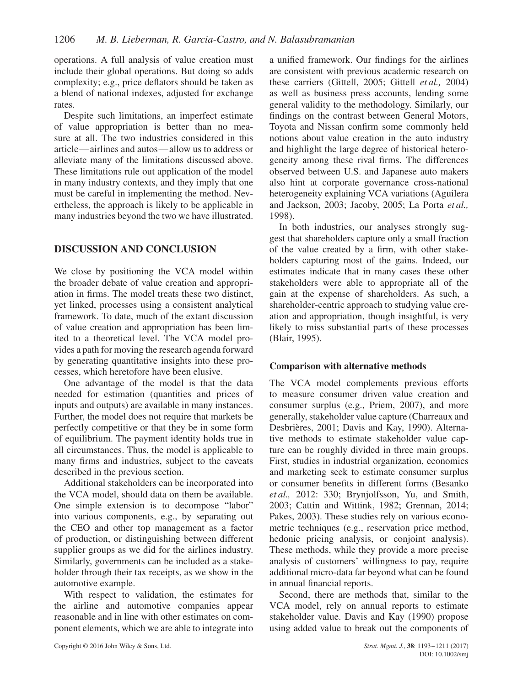operations. A full analysis of value creation must include their global operations. But doing so adds complexity; e.g., price deflators should be taken as a blend of national indexes, adjusted for exchange rates.

Despite such limitations, an imperfect estimate of value appropriation is better than no measure at all. The two industries considered in this article—airlines and autos—allow us to address or alleviate many of the limitations discussed above. These limitations rule out application of the model in many industry contexts, and they imply that one must be careful in implementing the method. Nevertheless, the approach is likely to be applicable in many industries beyond the two we have illustrated.

# **DISCUSSION AND CONCLUSION**

We close by positioning the VCA model within the broader debate of value creation and appropriation in firms. The model treats these two distinct, yet linked, processes using a consistent analytical framework. To date, much of the extant discussion of value creation and appropriation has been limited to a theoretical level. The VCA model provides a path for moving the research agenda forward by generating quantitative insights into these processes, which heretofore have been elusive.

One advantage of the model is that the data needed for estimation (quantities and prices of inputs and outputs) are available in many instances. Further, the model does not require that markets be perfectly competitive or that they be in some form of equilibrium. The payment identity holds true in all circumstances. Thus, the model is applicable to many firms and industries, subject to the caveats described in the previous section.

Additional stakeholders can be incorporated into the VCA model, should data on them be available. One simple extension is to decompose "labor" into various components, e.g., by separating out the CEO and other top management as a factor of production, or distinguishing between different supplier groups as we did for the airlines industry. Similarly, governments can be included as a stakeholder through their tax receipts, as we show in the automotive example.

With respect to validation, the estimates for the airline and automotive companies appear reasonable and in line with other estimates on component elements, which we are able to integrate into a unified framework. Our findings for the airlines are consistent with previous academic research on these carriers (Gittell, 2005; Gittell *et al.,* 2004) as well as business press accounts, lending some general validity to the methodology. Similarly, our findings on the contrast between General Motors, Toyota and Nissan confirm some commonly held notions about value creation in the auto industry and highlight the large degree of historical heterogeneity among these rival firms. The differences observed between U.S. and Japanese auto makers also hint at corporate governance cross-national heterogeneity explaining VCA variations (Aguilera and Jackson, 2003; Jacoby, 2005; La Porta *et al.,* 1998).

In both industries, our analyses strongly suggest that shareholders capture only a small fraction of the value created by a firm, with other stakeholders capturing most of the gains. Indeed, our estimates indicate that in many cases these other stakeholders were able to appropriate all of the gain at the expense of shareholders. As such, a shareholder-centric approach to studying value creation and appropriation, though insightful, is very likely to miss substantial parts of these processes (Blair, 1995).

# **Comparison with alternative methods**

The VCA model complements previous efforts to measure consumer driven value creation and consumer surplus (e.g., Priem, 2007), and more generally, stakeholder value capture (Charreaux and Desbrières, 2001; Davis and Kay, 1990). Alternative methods to estimate stakeholder value capture can be roughly divided in three main groups. First, studies in industrial organization, economics and marketing seek to estimate consumer surplus or consumer benefits in different forms (Besanko *et al.,* 2012: 330; Brynjolfsson, Yu, and Smith, 2003; Cattin and Wittink, 1982; Grennan, 2014; Pakes, 2003). These studies rely on various econometric techniques (e.g., reservation price method, hedonic pricing analysis, or conjoint analysis). These methods, while they provide a more precise analysis of customers' willingness to pay, require additional micro-data far beyond what can be found in annual financial reports.

Second, there are methods that, similar to the VCA model, rely on annual reports to estimate stakeholder value. Davis and Kay (1990) propose using added value to break out the components of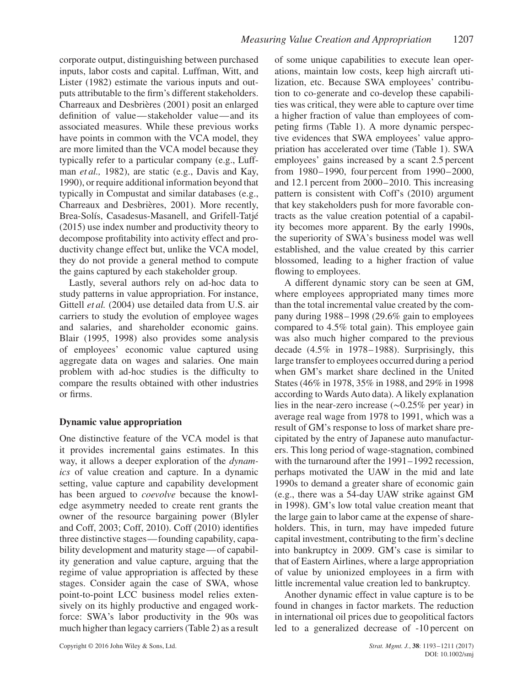corporate output, distinguishing between purchased inputs, labor costs and capital. Luffman, Witt, and Lister (1982) estimate the various inputs and outputs attributable to the firm's different stakeholders. Charreaux and Desbrières (2001) posit an enlarged definition of value—stakeholder value—and its associated measures. While these previous works have points in common with the VCA model, they are more limited than the VCA model because they typically refer to a particular company (e.g., Luffman *et al.,* 1982), are static (e.g., Davis and Kay, 1990), or require additional information beyond that typically in Compustat and similar databases (e.g., Charreaux and Desbrières, 2001). More recently, Brea-Solís, Casadesus-Masanell, and Grifell-Tatjé (2015) use index number and productivity theory to decompose profitability into activity effect and productivity change effect but, unlike the VCA model, they do not provide a general method to compute the gains captured by each stakeholder group.

Lastly, several authors rely on ad-hoc data to study patterns in value appropriation. For instance, Gittell *et al.* (2004) use detailed data from U.S. air carriers to study the evolution of employee wages and salaries, and shareholder economic gains. Blair (1995, 1998) also provides some analysis of employees' economic value captured using aggregate data on wages and salaries. One main problem with ad-hoc studies is the difficulty to compare the results obtained with other industries or firms.

# **Dynamic value appropriation**

One distinctive feature of the VCA model is that it provides incremental gains estimates. In this way, it allows a deeper exploration of the *dynamics* of value creation and capture. In a dynamic setting, value capture and capability development has been argued to *coevolve* because the knowledge asymmetry needed to create rent grants the owner of the resource bargaining power (Blyler and Coff, 2003; Coff, 2010). Coff (2010) identifies three distinctive stages— founding capability, capability development and maturity stage—of capability generation and value capture, arguing that the regime of value appropriation is affected by these stages. Consider again the case of SWA, whose point-to-point LCC business model relies extensively on its highly productive and engaged workforce: SWA's labor productivity in the 90s was much higher than legacy carriers (Table 2) as a result of some unique capabilities to execute lean operations, maintain low costs, keep high aircraft utilization, etc. Because SWA employees' contribution to co-generate and co-develop these capabilities was critical, they were able to capture over time a higher fraction of value than employees of competing firms (Table 1). A more dynamic perspective evidences that SWA employees' value appropriation has accelerated over time (Table 1). SWA employees' gains increased by a scant 2.5 percent from 1980–1990, four percent from 1990–2000, and 12.1 percent from 2000–2010. This increasing pattern is consistent with Coff's (2010) argument that key stakeholders push for more favorable contracts as the value creation potential of a capability becomes more apparent. By the early 1990s, the superiority of SWA's business model was well established, and the value created by this carrier blossomed, leading to a higher fraction of value flowing to employees.

A different dynamic story can be seen at GM, where employees appropriated many times more than the total incremental value created by the company during 1988–1998 (29.6% gain to employees compared to 4.5% total gain). This employee gain was also much higher compared to the previous decade (4.5% in 1978–1988). Surprisingly, this large transfer to employees occurred during a period when GM's market share declined in the United States (46% in 1978, 35% in 1988, and 29% in 1998 according to Wards Auto data). A likely explanation lies in the near-zero increase (∼0.25% per year) in average real wage from 1978 to 1991, which was a result of GM's response to loss of market share precipitated by the entry of Japanese auto manufacturers. This long period of wage-stagnation, combined with the turnaround after the 1991–1992 recession, perhaps motivated the UAW in the mid and late 1990s to demand a greater share of economic gain (e.g., there was a 54-day UAW strike against GM in 1998). GM's low total value creation meant that the large gain to labor came at the expense of shareholders. This, in turn, may have impeded future capital investment, contributing to the firm's decline into bankruptcy in 2009. GM's case is similar to that of Eastern Airlines, where a large appropriation of value by unionized employees in a firm with little incremental value creation led to bankruptcy.

Another dynamic effect in value capture is to be found in changes in factor markets. The reduction in international oil prices due to geopolitical factors led to a generalized decrease of -10 percent on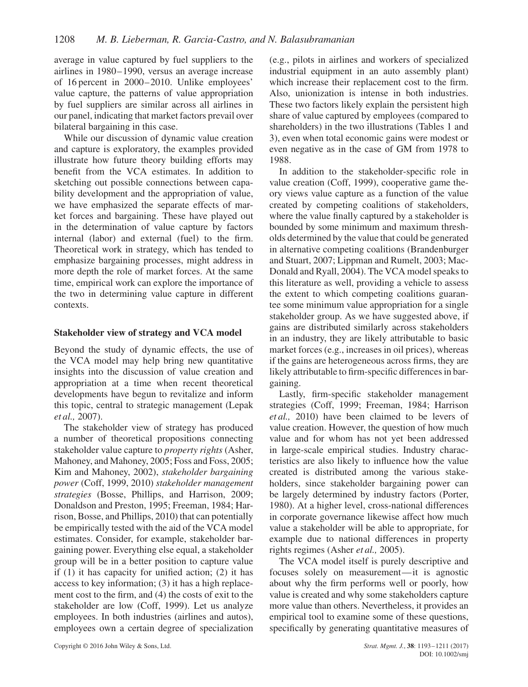average in value captured by fuel suppliers to the airlines in 1980–1990, versus an average increase of 16 percent in 2000–2010. Unlike employees' value capture, the patterns of value appropriation by fuel suppliers are similar across all airlines in our panel, indicating that market factors prevail over bilateral bargaining in this case.

While our discussion of dynamic value creation and capture is exploratory, the examples provided illustrate how future theory building efforts may benefit from the VCA estimates. In addition to sketching out possible connections between capability development and the appropriation of value, we have emphasized the separate effects of market forces and bargaining. These have played out in the determination of value capture by factors internal (labor) and external (fuel) to the firm. Theoretical work in strategy, which has tended to emphasize bargaining processes, might address in more depth the role of market forces. At the same time, empirical work can explore the importance of the two in determining value capture in different contexts.

# **Stakeholder view of strategy and VCA model**

Beyond the study of dynamic effects, the use of the VCA model may help bring new quantitative insights into the discussion of value creation and appropriation at a time when recent theoretical developments have begun to revitalize and inform this topic, central to strategic management (Lepak *et al.,* 2007).

The stakeholder view of strategy has produced a number of theoretical propositions connecting stakeholder value capture to *property rights* (Asher, Mahoney, and Mahoney, 2005; Foss and Foss, 2005; Kim and Mahoney, 2002), *stakeholder bargaining power* (Coff, 1999, 2010) *stakeholder management strategies* (Bosse, Phillips, and Harrison, 2009; Donaldson and Preston, 1995; Freeman, 1984; Harrison, Bosse, and Phillips, 2010) that can potentially be empirically tested with the aid of the VCA model estimates. Consider, for example, stakeholder bargaining power. Everything else equal, a stakeholder group will be in a better position to capture value if (1) it has capacity for unified action; (2) it has access to key information; (3) it has a high replacement cost to the firm, and (4) the costs of exit to the stakeholder are low (Coff, 1999). Let us analyze employees. In both industries (airlines and autos), employees own a certain degree of specialization

(e.g., pilots in airlines and workers of specialized industrial equipment in an auto assembly plant) which increase their replacement cost to the firm. Also, unionization is intense in both industries. These two factors likely explain the persistent high share of value captured by employees (compared to shareholders) in the two illustrations (Tables 1 and 3), even when total economic gains were modest or even negative as in the case of GM from 1978 to 1988.

In addition to the stakeholder-specific role in value creation (Coff, 1999), cooperative game theory views value capture as a function of the value created by competing coalitions of stakeholders, where the value finally captured by a stakeholder is bounded by some minimum and maximum thresholds determined by the value that could be generated in alternative competing coalitions (Brandenburger and Stuart, 2007; Lippman and Rumelt, 2003; Mac-Donald and Ryall, 2004). The VCA model speaks to this literature as well, providing a vehicle to assess the extent to which competing coalitions guarantee some minimum value appropriation for a single stakeholder group. As we have suggested above, if gains are distributed similarly across stakeholders in an industry, they are likely attributable to basic market forces (e.g., increases in oil prices), whereas if the gains are heterogeneous across firms, they are likely attributable to firm-specific differences in bargaining.

Lastly, firm-specific stakeholder management strategies (Coff, 1999; Freeman, 1984; Harrison *et al.,* 2010) have been claimed to be levers of value creation. However, the question of how much value and for whom has not yet been addressed in large-scale empirical studies. Industry characteristics are also likely to influence how the value created is distributed among the various stakeholders, since stakeholder bargaining power can be largely determined by industry factors (Porter, 1980). At a higher level, cross-national differences in corporate governance likewise affect how much value a stakeholder will be able to appropriate, for example due to national differences in property rights regimes (Asher *et al.,* 2005).

The VCA model itself is purely descriptive and focuses solely on measurement—it is agnostic about why the firm performs well or poorly, how value is created and why some stakeholders capture more value than others. Nevertheless, it provides an empirical tool to examine some of these questions, specifically by generating quantitative measures of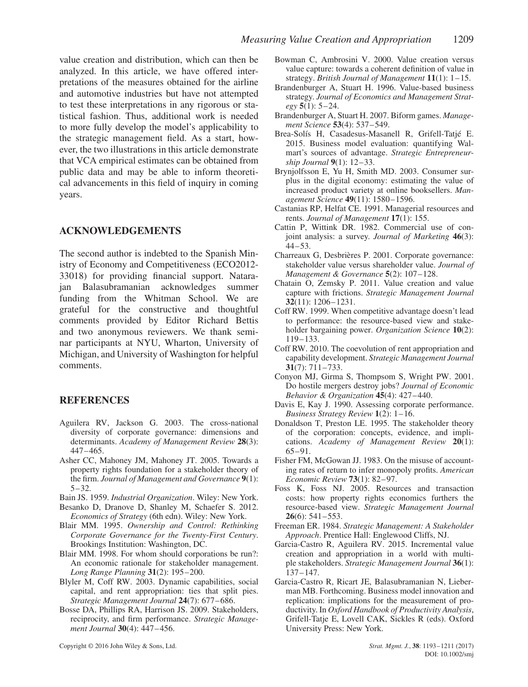value creation and distribution, which can then be analyzed. In this article, we have offered interpretations of the measures obtained for the airline and automotive industries but have not attempted to test these interpretations in any rigorous or statistical fashion. Thus, additional work is needed to more fully develop the model's applicability to the strategic management field. As a start, however, the two illustrations in this article demonstrate that VCA empirical estimates can be obtained from public data and may be able to inform theoretical advancements in this field of inquiry in coming years.

# **ACKNOWLEDGEMENTS**

The second author is indebted to the Spanish Ministry of Economy and Competitiveness (ECO2012- 33018) for providing financial support. Natarajan Balasubramanian acknowledges summer funding from the Whitman School. We are grateful for the constructive and thoughtful comments provided by Editor Richard Bettis and two anonymous reviewers. We thank seminar participants at NYU, Wharton, University of Michigan, and University of Washington for helpful comments.

# **REFERENCES**

- Aguilera RV, Jackson G. 2003. The cross-national diversity of corporate governance: dimensions and determinants. *Academy of Management Review* **28**(3): 447–465.
- Asher CC, Mahoney JM, Mahoney JT. 2005. Towards a property rights foundation for a stakeholder theory of the firm. *Journal of Management and Governance* **9**(1): 5–32.
- Bain JS. 1959. *Industrial Organization*. Wiley: New York.
- Besanko D, Dranove D, Shanley M, Schaefer S. 2012. *Economics of Strategy* (6th edn). Wiley: New York.
- Blair MM. 1995. *Ownership and Control: Rethinking Corporate Governance for the Twenty-First Century*. Brookings Institution: Washington, DC.
- Blair MM. 1998. For whom should corporations be run?: An economic rationale for stakeholder management. *Long Range Planning* **31**(2): 195–200.
- Blyler M, Coff RW. 2003. Dynamic capabilities, social capital, and rent appropriation: ties that split pies. *Strategic Management Journal* **24**(7): 677–686.
- Bosse DA, Phillips RA, Harrison JS. 2009. Stakeholders, reciprocity, and firm performance. *Strategic Management Journal* **30**(4): 447–456.
- Copyright © 2016 John Wiley & Sons, Ltd. *Strat. Mgmt. J.*, **38**: 1193–1211 (2017)
- Bowman C, Ambrosini V. 2000. Value creation versus value capture: towards a coherent definition of value in strategy. *British Journal of Management* **11**(1): 1–15.
- Brandenburger A, Stuart H. 1996. Value-based business strategy. *Journal of Economics and Management Strategy* **5**(1): 5–24.
- Brandenburger A, Stuart H. 2007. Biform games. *Management Science* **53**(4): 537–549.
- Brea-Solís H, Casadesus-Masanell R, Grifell-Tatjé E. 2015. Business model evaluation: quantifying Walmart's sources of advantage. *Strategic Entrepreneurship Journal* **9**(1): 12–33.
- Brynjolfsson E, Yu H, Smith MD. 2003. Consumer surplus in the digital economy: estimating the value of increased product variety at online booksellers. *Management Science* **49**(11): 1580–1596.
- Castanias RP, Helfat CE. 1991. Managerial resources and rents. *Journal of Management* **17**(1): 155.
- Cattin P, Wittink DR. 1982. Commercial use of conjoint analysis: a survey. *Journal of Marketing* **46**(3): 44–53.
- Charreaux G, Desbrières P. 2001. Corporate governance: stakeholder value versus shareholder value. *Journal of Management & Governance* **5**(2): 107–128.
- Chatain O, Zemsky P. 2011. Value creation and value capture with frictions. *Strategic Management Journal* **32**(11): 1206–1231.
- Coff RW. 1999. When competitive advantage doesn't lead to performance: the resource-based view and stakeholder bargaining power. *Organization Science* **10**(2): 119–133.
- Coff RW. 2010. The coevolution of rent appropriation and capability development. *Strategic Management Journal* **31**(7): 711–733.
- Conyon MJ, Girma S, Thompsom S, Wright PW. 2001. Do hostile mergers destroy jobs? *Journal of Economic Behavior & Organization* **45**(4): 427–440.
- Davis E, Kay J. 1990. Assessing corporate performance. *Business Strategy Review* **1**(2): 1–16.
- Donaldson T, Preston LE. 1995. The stakeholder theory of the corporation: concepts, evidence, and implications. *Academy of Management Review* **20**(1): 65–91.
- Fisher FM, McGowan JJ. 1983. On the misuse of accounting rates of return to infer monopoly profits. *American Economic Review* **73**(1): 82–97.
- Foss K, Foss NJ. 2005. Resources and transaction costs: how property rights economics furthers the resource-based view. *Strategic Management Journal* **26**(6): 541–553.
- Freeman ER. 1984. *Strategic Management: A Stakeholder Approach*. Prentice Hall: Englewood Cliffs, NJ.
- Garcia-Castro R, Aguilera RV. 2015. Incremental value creation and appropriation in a world with multiple stakeholders. *Strategic Management Journal* **36**(1): 137–147.
- Garcia-Castro R, Ricart JE, Balasubramanian N, Lieberman MB. Forthcoming. Business model innovation and replication: implications for the measurement of productivity. In *Oxford Handbook of Productivity Analysis*, Grifell-Tatje E, Lovell CAK, Sickles R (eds). Oxford University Press: New York.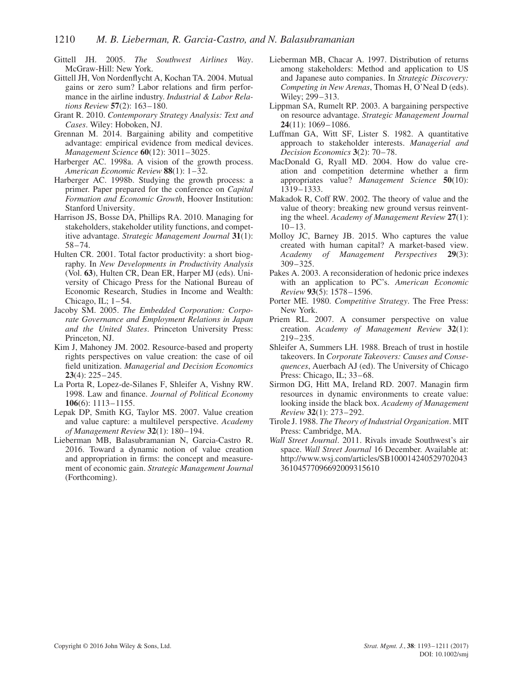- Gittell JH. 2005. *The Southwest Airlines Way*. McGraw-Hill: New York.
- Gittell JH, Von Nordenflycht A, Kochan TA. 2004. Mutual gains or zero sum? Labor relations and firm performance in the airline industry. *Industrial & Labor Relations Review* **57**(2): 163–180.
- Grant R. 2010. *Contemporary Strategy Analysis: Text and Cases*. Wiley: Hoboken, NJ.
- Grennan M. 2014. Bargaining ability and competitive advantage: empirical evidence from medical devices. *Management Science* **60**(12): 3011–3025.
- Harberger AC. 1998a. A vision of the growth process. *American Economic Review* **88**(1): 1–32.
- Harberger AC. 1998b. Studying the growth process: a primer. Paper prepared for the conference on *Capital Formation and Economic Growth*, Hoover Institution: Stanford University.
- Harrison JS, Bosse DA, Phillips RA. 2010. Managing for stakeholders, stakeholder utility functions, and competitive advantage. *Strategic Management Journal* **31**(1): 58–74.
- Hulten CR. 2001. Total factor productivity: a short biography. In *New Developments in Productivity Analysis* (Vol. **63**), Hulten CR, Dean ER, Harper MJ (eds). University of Chicago Press for the National Bureau of Economic Research, Studies in Income and Wealth: Chicago, IL; 1–54.
- Jacoby SM. 2005. *The Embedded Corporation: Corporate Governance and Employment Relations in Japan and the United States*. Princeton University Press: Princeton, NJ.
- Kim J, Mahoney JM. 2002. Resource-based and property rights perspectives on value creation: the case of oil field unitization. *Managerial and Decision Economics* **23**(4): 225–245.
- La Porta R, Lopez-de-Silanes F, Shleifer A, Vishny RW. 1998. Law and finance. *Journal of Political Economy* **106**(6): 1113–1155.
- Lepak DP, Smith KG, Taylor MS. 2007. Value creation and value capture: a multilevel perspective. *Academy of Management Review* **32**(1): 180–194.
- Lieberman MB, Balasubramanian N, Garcia-Castro R. 2016. Toward a dynamic notion of value creation and appropriation in firms: the concept and measurement of economic gain. *Strategic Management Journal* (Forthcoming).
- Lieberman MB, Chacar A. 1997. Distribution of returns among stakeholders: Method and application to US and Japanese auto companies. In *Strategic Discovery: Competing in New Arenas*, Thomas H, O'Neal D (eds). Wiley; 299–313.
- Lippman SA, Rumelt RP. 2003. A bargaining perspective on resource advantage. *Strategic Management Journal* **24**(11): 1069–1086.
- Luffman GA, Witt SF, Lister S. 1982. A quantitative approach to stakeholder interests. *Managerial and Decision Economics* **3**(2): 70–78.
- MacDonald G, Ryall MD. 2004. How do value creation and competition determine whether a firm appropriates value? *Management Science* **50**(10): 1319–1333.
- Makadok R, Coff RW. 2002. The theory of value and the value of theory: breaking new ground versus reinventing the wheel. *Academy of Management Review* **27**(1): 10–13.
- Molloy JC, Barney JB. 2015. Who captures the value created with human capital? A market-based view. *Academy of Management Perspectives* **29**(3): 309–325.
- Pakes A. 2003. A reconsideration of hedonic price indexes with an application to PC's. *American Economic Review* **93**(5): 1578–1596.
- Porter ME. 1980. *Competitive Strategy*. The Free Press: New York.
- Priem RL. 2007. A consumer perspective on value creation. *Academy of Management Review* **32**(1): 219–235.
- Shleifer A, Summers LH. 1988. Breach of trust in hostile takeovers. In *Corporate Takeovers: Causes and Consequences*, Auerbach AJ (ed). The University of Chicago Press: Chicago, IL; 33–68.
- Sirmon DG, Hitt MA, Ireland RD. 2007. Managin firm resources in dynamic environments to create value: looking inside the black box. *Academy of Management Review* **32**(1): 273–292.
- Tirole J. 1988. *The Theory of Industrial Organization*. MIT Press: Cambridge, MA.
- *Wall Street Journal*. 2011. Rivals invade Southwest's air space. *Wall Street Journal* 16 December. Available at: http://www.wsj.com/articles/SB100014240529702043 36104577096692009315610